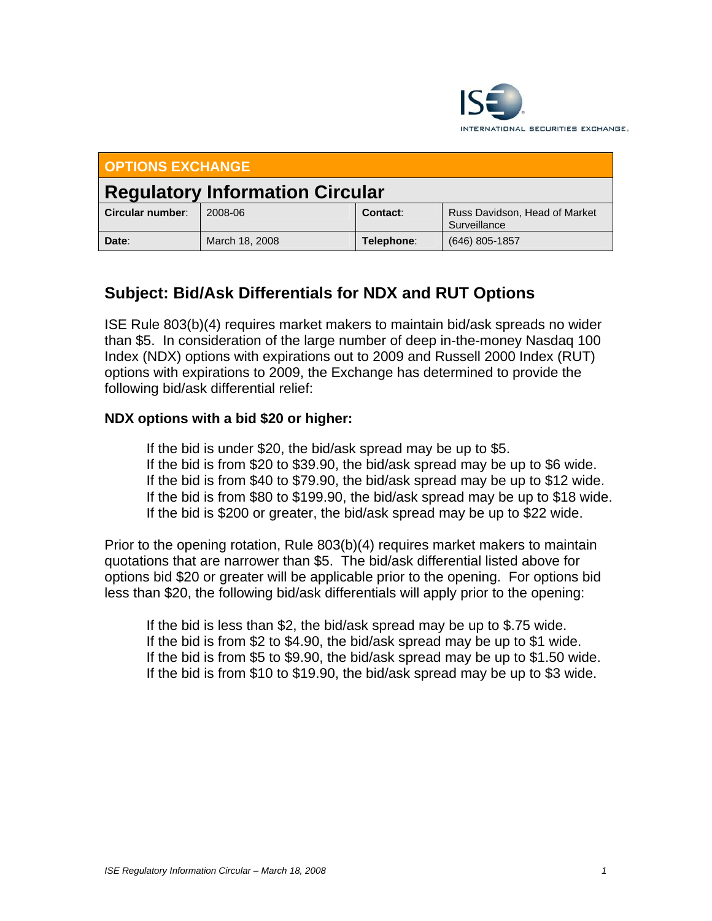

| <b>OPTIONS EXCHANGE</b>                |                |            |                                               |
|----------------------------------------|----------------|------------|-----------------------------------------------|
| <b>Regulatory Information Circular</b> |                |            |                                               |
| Circular number:                       | 2008-06        | Contact:   | Russ Davidson, Head of Market<br>Surveillance |
| Date:                                  | March 18, 2008 | Telephone: | (646) 805-1857                                |

## **Subject: Bid/Ask Differentials for NDX and RUT Options**

ISE Rule 803(b)(4) requires market makers to maintain bid/ask spreads no wider than \$5. In consideration of the large number of deep in-the-money Nasdaq 100 Index (NDX) options with expirations out to 2009 and Russell 2000 Index (RUT) options with expirations to 2009, the Exchange has determined to provide the following bid/ask differential relief:

## **NDX options with a bid \$20 or higher:**

 If the bid is under \$20, the bid/ask spread may be up to \$5. If the bid is from \$20 to \$39.90, the bid/ask spread may be up to \$6 wide. If the bid is from \$40 to \$79.90, the bid/ask spread may be up to \$12 wide. If the bid is from \$80 to \$199.90, the bid/ask spread may be up to \$18 wide. If the bid is \$200 or greater, the bid/ask spread may be up to \$22 wide.

Prior to the opening rotation, Rule 803(b)(4) requires market makers to maintain quotations that are narrower than \$5. The bid/ask differential listed above for options bid \$20 or greater will be applicable prior to the opening. For options bid less than \$20, the following bid/ask differentials will apply prior to the opening:

 If the bid is less than \$2, the bid/ask spread may be up to \$.75 wide. If the bid is from \$2 to \$4.90, the bid/ask spread may be up to \$1 wide. If the bid is from \$5 to \$9.90, the bid/ask spread may be up to \$1.50 wide. If the bid is from \$10 to \$19.90, the bid/ask spread may be up to \$3 wide.